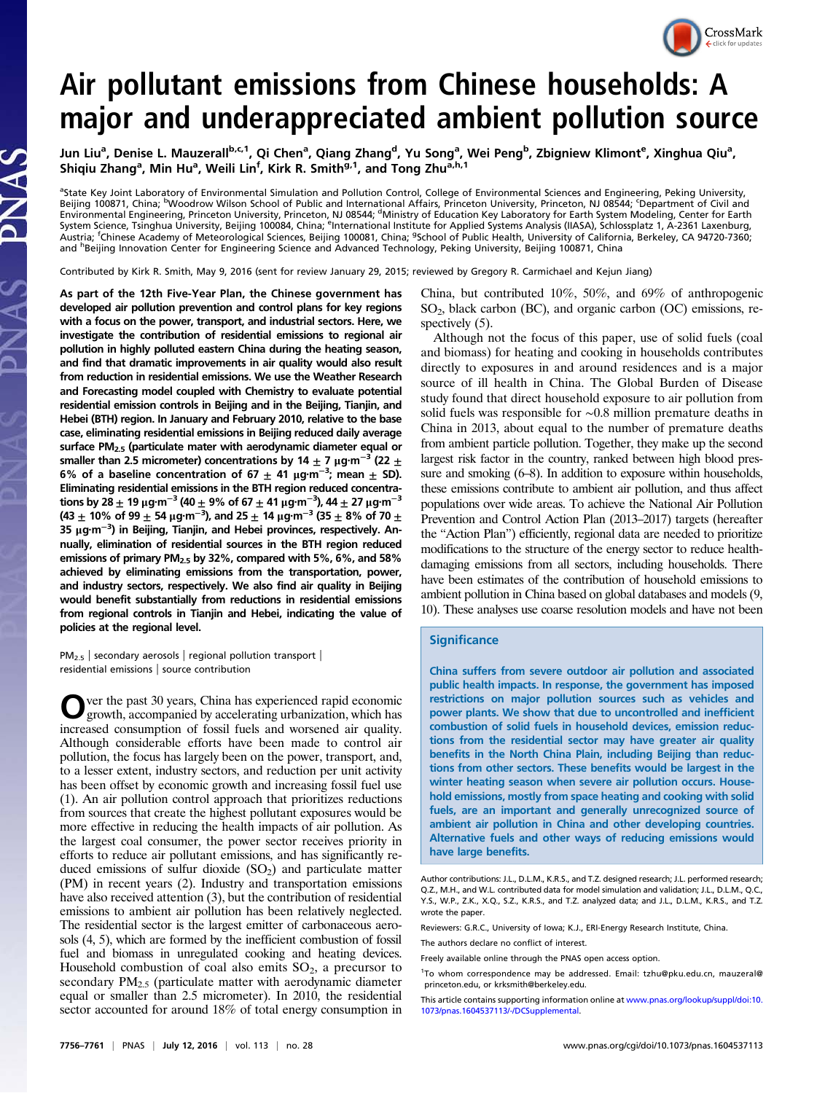# CrossMark

# Air pollutant emissions from Chinese households: A major and underappreciated ambient pollution source

Jun Liu<sup>a</sup>, Denise L. Mauzerall<sup>b,c,1</sup>, Qi Chen<sup>a</sup>, Qiang Zhang<sup>d</sup>, Yu Song<sup>a</sup>, Wei Peng<sup>b</sup>, Zbigniew Klimont<sup>e</sup>, Xinghua Qiu<sup>a</sup>, Shiqiu Zhang<sup>a</sup>, Min Hu<sup>a</sup>, Weili Lin<sup>f</sup>, Kirk R. Smith<sup>g, 1</sup>, and Tong Zhu<sup>a,h, 1</sup>

<sup>a</sup>State Key Joint Laboratory of Environmental Simulation and Pollution Control, College of Environmental Sciences and Engineering, Peking University, Beijing 100871, China; <sup>b</sup>Woodrow Wilson School of Public and International Affairs, Princeton University, Princeton, NJ 08544; <sup>c</sup>Department of Civil and Environmental Engineering, Princeton University, Princeton, NJ 08544; <sup>d</sup>Ministry of Education Key Laboratory for Earth System Modeling, Center for Earth<br>System Science, Tsinghua University, Beijing 100084, China; <sup>e</sup>Inter Austria; <sup>f</sup>Chinese Academy of Meteorological Sciences, Beijing 100081, China; <sup>9</sup>School of Public Health, University of California, Berkeley, CA 94720-7360; and <sup>h</sup>Beijing Innovation Center for Engineering Science and Advanced Technology, Peking University, Beijing 100871, China

Contributed by Kirk R. Smith, May 9, 2016 (sent for review January 29, 2015; reviewed by Gregory R. Carmichael and Kejun Jiang)

As part of the 12th Five-Year Plan, the Chinese government has developed air pollution prevention and control plans for key regions with a focus on the power, transport, and industrial sectors. Here, we investigate the contribution of residential emissions to regional air pollution in highly polluted eastern China during the heating season, and find that dramatic improvements in air quality would also result from reduction in residential emissions. We use the Weather Research and Forecasting model coupled with Chemistry to evaluate potential residential emission controls in Beijing and in the Beijing, Tianjin, and Hebei (BTH) region. In January and February 2010, relative to the base case, eliminating residential emissions in Beijing reduced daily average surface  $PM<sub>2.5</sub>$  (particulate mater with aerodynamic diameter equal or smaller than 2.5 micrometer) concentrations by 14  $\pm$  7  $\mu$ g·m<sup>-3</sup> (22  $\pm$ 6% of a baseline concentration of 67  $\pm$  41 μg·m<sup>-3</sup>; mean  $\pm$  SD). Eliminating residential emissions in the BTH region reduced concentrations by 28  $\pm$  19 μg·m $^{-3}$  (40  $\pm$  9% of 67  $\pm$  41 μg·m $^{-3}$ ), 44  $\pm$  27 μg·m $^{-3}$ (43  $\pm$  10% of 99  $\pm$  54  $\mu$ g·m $^{-3}$ ), and 25  $\pm$  14  $\mu$ g·m $^{-3}$  (35  $\pm$  8% of 70  $\pm$ 35 μg·m<sup>−3</sup>) in Beijing, Tianjin, and Hebei provinces, respectively. Annually, elimination of residential sources in the BTH region reduced emissions of primary PM<sub>2.5</sub> by 32%, compared with 5%, 6%, and 58% achieved by eliminating emissions from the transportation, power, and industry sectors, respectively. We also find air quality in Beijing would benefit substantially from reductions in residential emissions from regional controls in Tianjin and Hebei, indicating the value of policies at the regional level.

 $PM_{2.5}$  secondary aerosols | regional pollution transport | residential emissions | source contribution

Over the past 30 years, China has experienced rapid economic growth, accompanied by accelerating urbanization, which has increased consumption of fossil fuels and worsened air quality. Although considerable efforts have been made to control air pollution, the focus has largely been on the power, transport, and, to a lesser extent, industry sectors, and reduction per unit activity has been offset by economic growth and increasing fossil fuel use (1). An air pollution control approach that prioritizes reductions from sources that create the highest pollutant exposures would be more effective in reducing the health impacts of air pollution. As the largest coal consumer, the power sector receives priority in efforts to reduce air pollutant emissions, and has significantly reduced emissions of sulfur dioxide  $(SO<sub>2</sub>)$  and particulate matter (PM) in recent years (2). Industry and transportation emissions have also received attention (3), but the contribution of residential emissions to ambient air pollution has been relatively neglected. The residential sector is the largest emitter of carbonaceous aerosols (4, 5), which are formed by the inefficient combustion of fossil fuel and biomass in unregulated cooking and heating devices. Household combustion of coal also emits  $SO_2$ , a precursor to secondary  $PM_{2,5}$  (particulate matter with aerodynamic diameter equal or smaller than 2.5 micrometer). In 2010, the residential sector accounted for around 18% of total energy consumption in China, but contributed 10%, 50%, and 69% of anthropogenic  $SO<sub>2</sub>$ , black carbon (BC), and organic carbon (OC) emissions, respectively (5).

Although not the focus of this paper, use of solid fuels (coal and biomass) for heating and cooking in households contributes directly to exposures in and around residences and is a major source of ill health in China. The Global Burden of Disease study found that direct household exposure to air pollution from solid fuels was responsible for ∼0.8 million premature deaths in China in 2013, about equal to the number of premature deaths from ambient particle pollution. Together, they make up the second largest risk factor in the country, ranked between high blood pressure and smoking (6–8). In addition to exposure within households, these emissions contribute to ambient air pollution, and thus affect populations over wide areas. To achieve the National Air Pollution Prevention and Control Action Plan (2013–2017) targets (hereafter the "Action Plan") efficiently, regional data are needed to prioritize modifications to the structure of the energy sector to reduce healthdamaging emissions from all sectors, including households. There have been estimates of the contribution of household emissions to ambient pollution in China based on global databases and models (9, 10). These analyses use coarse resolution models and have not been

#### **Significance**

China suffers from severe outdoor air pollution and associated public health impacts. In response, the government has imposed restrictions on major pollution sources such as vehicles and power plants. We show that due to uncontrolled and inefficient combustion of solid fuels in household devices, emission reductions from the residential sector may have greater air quality benefits in the North China Plain, including Beijing than reductions from other sectors. These benefits would be largest in the winter heating season when severe air pollution occurs. Household emissions, mostly from space heating and cooking with solid fuels, are an important and generally unrecognized source of ambient air pollution in China and other developing countries. Alternative fuels and other ways of reducing emissions would have large benefits.

Reviewers: G.R.C., University of Iowa; K.J., ERI-Energy Research Institute, China. The authors declare no conflict of interest.

Author contributions: J.L., D.L.M., K.R.S., and T.Z. designed research; J.L. performed research; Q.Z., M.H., and W.L. contributed data for model simulation and validation; J.L., D.L.M., Q.C., Y.S., W.P., Z.K., X.Q., S.Z., K.R.S., and T.Z. analyzed data; and J.L., D.L.M., K.R.S., and T.Z. wrote the paper.

Freely available online through the PNAS open access option.

<sup>1</sup> To whom correspondence may be addressed. Email: [tzhu@pku.edu.cn,](mailto:tzhu@pku.edu.cn) [mauzeral@](mailto:mauzeral@princeton.edu) [princeton.edu,](mailto:mauzeral@princeton.edu) or [krksmith@berkeley.edu.](mailto:krksmith@berkeley.edu)

This article contains supporting information online at [www.pnas.org/lookup/suppl/doi:10.](http://www.pnas.org/lookup/suppl/doi:10.1073/pnas.1604537113/-/DCSupplemental) [1073/pnas.1604537113/-/DCSupplemental.](http://www.pnas.org/lookup/suppl/doi:10.1073/pnas.1604537113/-/DCSupplemental)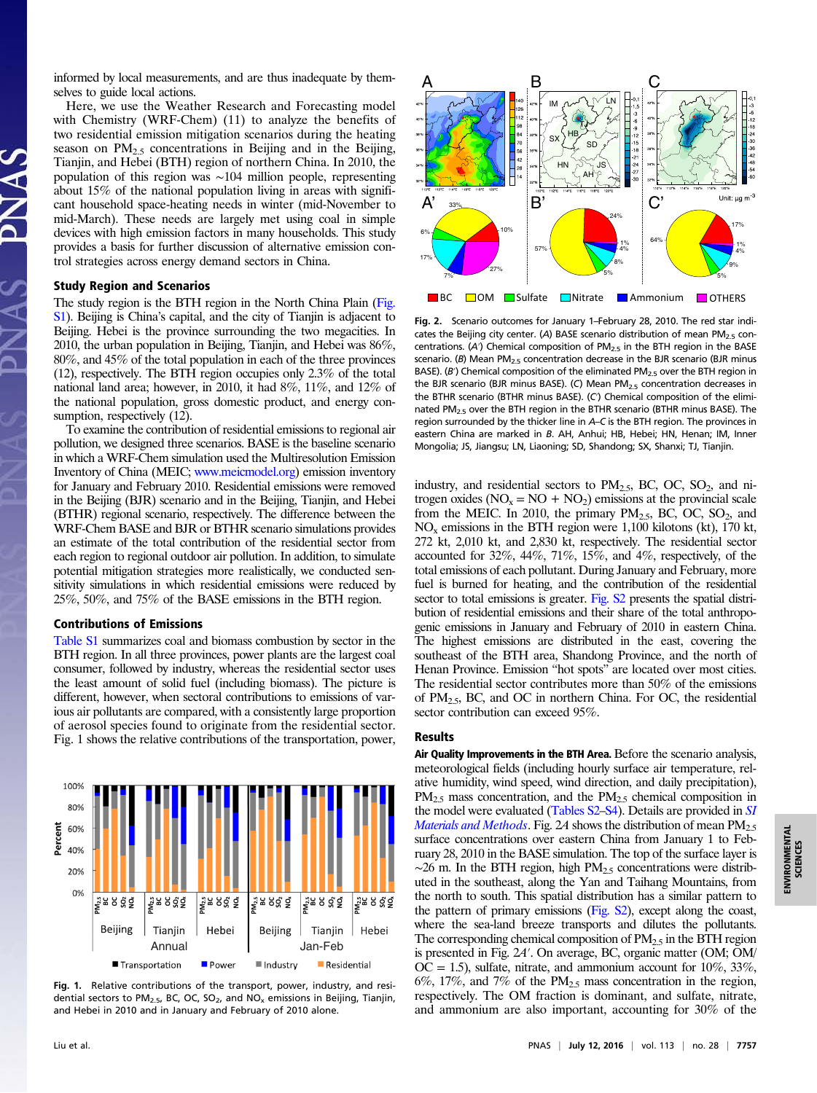informed by local measurements, and are thus inadequate by themselves to guide local actions.

Here, we use the Weather Research and Forecasting model with Chemistry (WRF-Chem) (11) to analyze the benefits of two residential emission mitigation scenarios during the heating season on  $PM_{2.5}$  concentrations in Beijing and in the Beijing, Tianjin, and Hebei (BTH) region of northern China. In 2010, the population of this region was ∼104 million people, representing about 15% of the national population living in areas with significant household space-heating needs in winter (mid-November to mid-March). These needs are largely met using coal in simple devices with high emission factors in many households. This study provides a basis for further discussion of alternative emission control strategies across energy demand sectors in China.

#### Study Region and Scenarios

The study region is the BTH region in the North China Plain ([Fig.](http://www.pnas.org/lookup/suppl/doi:10.1073/pnas.1604537113/-/DCSupplemental/pnas.201604537SI.pdf?targetid=nameddest=SF1) [S1](http://www.pnas.org/lookup/suppl/doi:10.1073/pnas.1604537113/-/DCSupplemental/pnas.201604537SI.pdf?targetid=nameddest=SF1)). Beijing is China's capital, and the city of Tianjin is adjacent to Beijing. Hebei is the province surrounding the two megacities. In 2010, the urban population in Beijing, Tianjin, and Hebei was 86%, 80%, and 45% of the total population in each of the three provinces (12), respectively. The BTH region occupies only 2.3% of the total national land area; however, in 2010, it had 8%, 11%, and 12% of the national population, gross domestic product, and energy consumption, respectively  $(12)$ .

To examine the contribution of residential emissions to regional air pollution, we designed three scenarios. BASE is the baseline scenario in which a WRF-Chem simulation used the Multiresolution Emission Inventory of China (MEIC; [www.meicmodel.org](http://www.meicmodel.org/)) emission inventory for January and February 2010. Residential emissions were removed in the Beijing (BJR) scenario and in the Beijing, Tianjin, and Hebei (BTHR) regional scenario, respectively. The difference between the WRF-Chem BASE and BJR or BTHR scenario simulations provides an estimate of the total contribution of the residential sector from each region to regional outdoor air pollution. In addition, to simulate potential mitigation strategies more realistically, we conducted sensitivity simulations in which residential emissions were reduced by 25%, 50%, and 75% of the BASE emissions in the BTH region.

## Contributions of Emissions

[Table S1](http://www.pnas.org/lookup/suppl/doi:10.1073/pnas.1604537113/-/DCSupplemental/pnas.201604537SI.pdf?targetid=nameddest=ST1) summarizes coal and biomass combustion by sector in the BTH region. In all three provinces, power plants are the largest coal consumer, followed by industry, whereas the residential sector uses the least amount of solid fuel (including biomass). The picture is different, however, when sectoral contributions to emissions of various air pollutants are compared, with a consistently large proportion of aerosol species found to originate from the residential sector. Fig. 1 shows the relative contributions of the transportation, power,



Fig. 1. Relative contributions of the transport, power, industry, and residential sectors to PM<sub>2.5</sub>, BC, OC, SO<sub>2</sub>, and NO<sub>x</sub> emissions in Beijing, Tianjin, and Hebei in 2010 and in January and February of 2010 alone.

 $\underline{\mathsf{A}}$ B C LN IM TJ HB  $S^X \cup S^Y$ HN JS AH Unit:  $\mu$ g m<sup>-3</sup> B' C' A' 33% 24% 17% 10% 6% 64% 1% 1% 57% 4% 4% 17% 8% 9% 27% 5% 5% 7% **BC** OM Sulfate Nitrate Ammonium OTHERS **Nitrate Ammonium** 

Fig. 2. Scenario outcomes for January 1–February 28, 2010. The red star indicates the Beijing city center. (A) BASE scenario distribution of mean  $PM_{2.5}$  concentrations. (A') Chemical composition of PM<sub>2.5</sub> in the BTH region in the BASE scenario. (B) Mean  $PM_{2.5}$  concentration decrease in the BJR scenario (BJR minus BASE). (B') Chemical composition of the eliminated PM<sub>2.5</sub> over the BTH region in the BJR scenario (BJR minus BASE). (C) Mean  $PM_{2.5}$  concentration decreases in the BTHR scenario (BTHR minus BASE). (C′) Chemical composition of the eliminated PM<sub>2.5</sub> over the BTH region in the BTHR scenario (BTHR minus BASE). The region surrounded by the thicker line in A–C is the BTH region. The provinces in eastern China are marked in B. AH, Anhui; HB, Hebei; HN, Henan; IM, Inner Mongolia; JS, Jiangsu; LN, Liaoning; SD, Shandong; SX, Shanxi; TJ, Tianjin.

industry, and residential sectors to  $PM_{2.5}$ , BC, OC, SO<sub>2</sub>, and nitrogen oxides  $(NO_x = NO + NO_2)$  emissions at the provincial scale from the MEIC. In 2010, the primary  $PM_2$ , BC, OC, SO<sub>2</sub>, and  $NO<sub>x</sub>$  emissions in the BTH region were 1,100 kilotons (kt), 170 kt, 272 kt, 2,010 kt, and 2,830 kt, respectively. The residential sector accounted for 32%, 44%, 71%, 15%, and 4%, respectively, of the total emissions of each pollutant. During January and February, more fuel is burned for heating, and the contribution of the residential sector to total emissions is greater. [Fig. S2](http://www.pnas.org/lookup/suppl/doi:10.1073/pnas.1604537113/-/DCSupplemental/pnas.201604537SI.pdf?targetid=nameddest=SF2) presents the spatial distribution of residential emissions and their share of the total anthropogenic emissions in January and February of 2010 in eastern China. The highest emissions are distributed in the east, covering the southeast of the BTH area, Shandong Province, and the north of Henan Province. Emission "hot spots" are located over most cities. The residential sector contributes more than 50% of the emissions of PM2.5, BC, and OC in northern China. For OC, the residential sector contribution can exceed 95%.

## Results

Air Quality Improvements in the BTH Area. Before the scenario analysis, meteorological fields (including hourly surface air temperature, relative humidity, wind speed, wind direction, and daily precipitation),  $PM_{2.5}$  mass concentration, and the  $PM_{2.5}$  chemical composition in the model were evaluated ([Tables S2](http://www.pnas.org/lookup/suppl/doi:10.1073/pnas.1604537113/-/DCSupplemental/pnas.201604537SI.pdf?targetid=nameddest=ST2)–[S4](http://www.pnas.org/lookup/suppl/doi:10.1073/pnas.1604537113/-/DCSupplemental/pnas.201604537SI.pdf?targetid=nameddest=ST4)). Details are provided in [SI](http://www.pnas.org/lookup/suppl/doi:10.1073/pnas.1604537113/-/DCSupplemental/pnas.201604537SI.pdf?targetid=nameddest=STXT) *[Materials and Methods](http://www.pnas.org/lookup/suppl/doi:10.1073/pnas.1604537113/-/DCSupplemental/pnas.201604537SI.pdf?targetid=nameddest=STXT)*. Fig. 24 shows the distribution of mean  $PM_{2.5}$ surface concentrations over eastern China from January 1 to February 28, 2010 in the BASE simulation. The top of the surface layer is  $~\sim$ 26 m. In the BTH region, high PM<sub>2.5</sub> concentrations were distributed in the southeast, along the Yan and Taihang Mountains, from the north to south. This spatial distribution has a similar pattern to the pattern of primary emissions [\(Fig. S2](http://www.pnas.org/lookup/suppl/doi:10.1073/pnas.1604537113/-/DCSupplemental/pnas.201604537SI.pdf?targetid=nameddest=SF2)), except along the coast, where the sea-land breeze transports and dilutes the pollutants. The corresponding chemical composition of  $PM_{2.5}$  in the BTH region is presented in Fig. 2A′. On average, BC, organic matter (OM; OM/  $OC = 1.5$ ), sulfate, nitrate, and ammonium account for 10%, 33%, 6%, 17%, and 7% of the  $PM_{2.5}$  mass concentration in the region, respectively. The OM fraction is dominant, and sulfate, nitrate, and ammonium are also important, accounting for 30% of the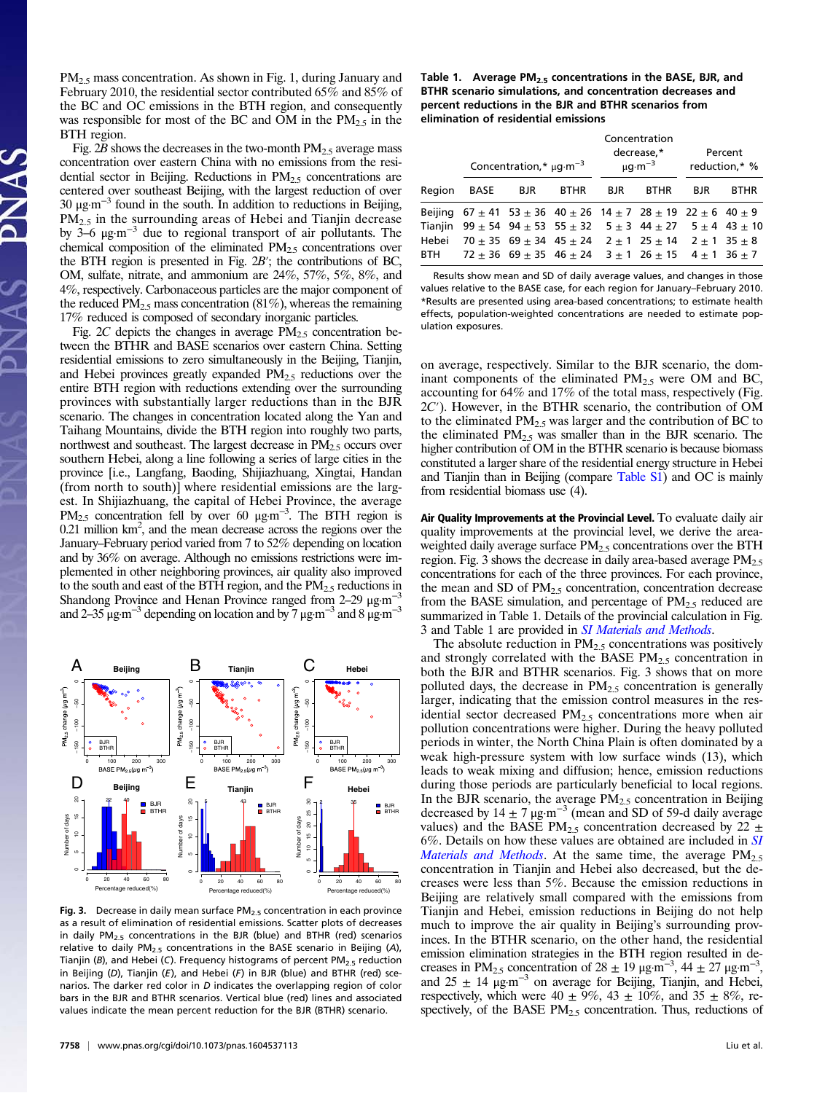PM2.5 mass concentration. As shown in Fig. 1, during January and February 2010, the residential sector contributed 65% and 85% of the BC and OC emissions in the BTH region, and consequently was responsible for most of the BC and OM in the  $PM_{2,5}$  in the BTH region.

Fig. 2B shows the decreases in the two-month  $PM_{2.5}$  average mass concentration over eastern China with no emissions from the residential sector in Beijing. Reductions in  $PM_{2.5}$  concentrations are centered over southeast Beijing, with the largest reduction of over 30 μg·m<sup>-3</sup> found in the south. In addition to reductions in Beijing, PM<sub>2.5</sub> in the surrounding areas of Hebei and Tianjin decrease by 3–6 μg·m−<sup>3</sup> due to regional transport of air pollutants. The chemical composition of the eliminated  $PM_{2.5}$  concentrations over the BTH region is presented in Fig. 2B′; the contributions of BC, OM, sulfate, nitrate, and ammonium are 24%, 57%, 5%, 8%, and 4%, respectively. Carbonaceous particles are the major component of the reduced  $PM_{2.5}$  mass concentration (81%), whereas the remaining 17% reduced is composed of secondary inorganic particles.

Fig. 2C depicts the changes in average  $PM<sub>2.5</sub>$  concentration between the BTHR and BASE scenarios over eastern China. Setting residential emissions to zero simultaneously in the Beijing, Tianjin, and Hebei provinces greatly expanded  $PM_{2.5}$  reductions over the entire BTH region with reductions extending over the surrounding provinces with substantially larger reductions than in the BJR scenario. The changes in concentration located along the Yan and Taihang Mountains, divide the BTH region into roughly two parts, northwest and southeast. The largest decrease in  $PM_{2.5}$  occurs over southern Hebei, along a line following a series of large cities in the province [i.e., Langfang, Baoding, Shijiazhuang, Xingtai, Handan (from north to south)] where residential emissions are the largest. In Shijiazhuang, the capital of Hebei Province, the average PM<sub>2.5</sub> concentration fell by over 60  $\mu$ g·m<sup>-3</sup>. The BTH region is  $0.21$  million km<sup>2</sup>, and the mean decrease across the regions over the January–February period varied from 7 to 52% depending on location and by 36% on average. Although no emissions restrictions were implemented in other neighboring provinces, air quality also improved to the south and east of the BTH region, and the  $PM_{2.5}$  reductions in Shandong Province and Henan Province ranged from 2–29 μg·m<sup>-3</sup> and 2–35  $\mu$ g·m<sup>-3</sup> depending on location and by 7  $\mu$ g·m<sup>-3</sup> and 8  $\mu$ g·m<sup>-3</sup>



Fig. 3. Decrease in daily mean surface  $PM<sub>2.5</sub>$  concentration in each province as a result of elimination of residential emissions. Scatter plots of decreases in daily  $PM<sub>2.5</sub>$  concentrations in the BJR (blue) and BTHR (red) scenarios relative to daily  $PM_{2.5}$  concentrations in the BASE scenario in Beijing (A), Tianjin (B), and Hebei (C). Frequency histograms of percent  $PM_{2.5}$  reduction in Beijing (D), Tianjin (E), and Hebei (F) in BJR (blue) and BTHR (red) scenarios. The darker red color in D indicates the overlapping region of color bars in the BJR and BTHR scenarios. Vertical blue (red) lines and associated values indicate the mean percent reduction for the BJR (BTHR) scenario.

Table 1. Average  $PM<sub>2.5</sub>$  concentrations in the BASE, BJR, and BTHR scenario simulations, and concentration decreases and percent reductions in the BJR and BTHR scenarios from elimination of residential emissions

| Concentration,* $\mu q \cdot m^{-3}$ |  |                                                                                          | Concentration<br>decrease,*<br>$\mu$ g·m <sup>-3</sup> |             | Percent<br>reduction,* % |             |
|--------------------------------------|--|------------------------------------------------------------------------------------------|--------------------------------------------------------|-------------|--------------------------|-------------|
|                                      |  | Region BASE BJR BTHR                                                                     | <b>BJR</b>                                             | <b>BTHR</b> | BJR.                     | <b>BTHR</b> |
|                                      |  | Beijing $67 \pm 41$ 53 $\pm 36$ 40 $\pm 26$ 14 $\pm 7$ 28 $\pm 19$ 22 $\pm 6$ 40 $\pm 9$ |                                                        |             |                          |             |
|                                      |  | Tianjin 99 ± 54 94 ± 53 55 ± 32 5 ± 3 44 ± 27 5 ± 4 43 ± 10                              |                                                        |             |                          |             |
|                                      |  | Hebei 70 $\pm$ 35 69 $\pm$ 34 45 $\pm$ 24 2 $\pm$ 1 25 $\pm$ 14 2 $\pm$ 1 35 $\pm$ 8     |                                                        |             |                          |             |
|                                      |  | BTH $72 + 36 + 69 + 35 + 46 + 24 + 3 + 1 + 26 + 15 + 4 + 1 + 36 + 7$                     |                                                        |             |                          |             |

Results show mean and SD of daily average values, and changes in those values relative to the BASE case, for each region for January–February 2010. \*Results are presented using area-based concentrations; to estimate health effects, population-weighted concentrations are needed to estimate population exposures.

on average, respectively. Similar to the BJR scenario, the dominant components of the eliminated  $PM_{2.5}$  were OM and BC, accounting for 64% and 17% of the total mass, respectively (Fig. 2C′). However, in the BTHR scenario, the contribution of OM to the eliminated  $PM_{2.5}$  was larger and the contribution of BC to the eliminated  $PM<sub>2.5</sub>$  was smaller than in the BJR scenario. The higher contribution of OM in the BTHR scenario is because biomass constituted a larger share of the residential energy structure in Hebei and Tianjin than in Beijing (compare [Table S1\)](http://www.pnas.org/lookup/suppl/doi:10.1073/pnas.1604537113/-/DCSupplemental/pnas.201604537SI.pdf?targetid=nameddest=ST1) and OC is mainly from residential biomass use (4).

Air Quality Improvements at the Provincial Level. To evaluate daily air quality improvements at the provincial level, we derive the areaweighted daily average surface  $PM<sub>2.5</sub>$  concentrations over the BTH region. Fig. 3 shows the decrease in daily area-based average  $PM_{2.5}$ concentrations for each of the three provinces. For each province, the mean and SD of  $PM_{2.5}$  concentration, concentration decrease from the BASE simulation, and percentage of  $PM_{2.5}$  reduced are summarized in Table 1. Details of the provincial calculation in Fig. 3 and Table 1 are provided in [SI Materials and Methods](http://www.pnas.org/lookup/suppl/doi:10.1073/pnas.1604537113/-/DCSupplemental/pnas.201604537SI.pdf?targetid=nameddest=STXT).

The absolute reduction in  $PM_{2.5}$  concentrations was positively and strongly correlated with the BASE  $PM_{2.5}$  concentration in both the BJR and BTHR scenarios. Fig. 3 shows that on more polluted days, the decrease in  $PM<sub>2.5</sub>$  concentration is generally larger, indicating that the emission control measures in the residential sector decreased PM<sub>2.5</sub> concentrations more when air pollution concentrations were higher. During the heavy polluted periods in winter, the North China Plain is often dominated by a weak high-pressure system with low surface winds (13), which leads to weak mixing and diffusion; hence, emission reductions during those periods are particularly beneficial to local regions. In the BJR scenario, the average  $PM<sub>2.5</sub>$  concentration in Beijing decreased by  $14 \pm 7 \mu g \cdot m^{-3}$  (mean and SD of 59-d daily average values) and the BASE PM<sub>2.5</sub> concentration decreased by 22  $\pm$  $6\%$ . Details on how these values are obtained are included in  $SI$ [Materials and Methods](http://www.pnas.org/lookup/suppl/doi:10.1073/pnas.1604537113/-/DCSupplemental/pnas.201604537SI.pdf?targetid=nameddest=STXT). At the same time, the average  $PM_{2.5}$ concentration in Tianjin and Hebei also decreased, but the decreases were less than 5%. Because the emission reductions in Beijing are relatively small compared with the emissions from Tianjin and Hebei, emission reductions in Beijing do not help much to improve the air quality in Beijing's surrounding provinces. In the BTHR scenario, on the other hand, the residential emission elimination strategies in the BTH region resulted in decreases in PM<sub>2.5</sub> concentration of 28  $\pm$  19  $\mu$ g·m<sup>-3</sup>, 44  $\pm$  27  $\mu$ g·m<sup>-3</sup>, and  $25 \pm 14 \text{ }\mu\text{g}\cdot\text{m}^{-3}$  on average for Beijing, Tianjin, and Hebei, respectively, which were  $40 \pm 9\%$ ,  $43 \pm 10\%$ , and  $35 \pm 8\%$ , respectively, of the BASE  $PM<sub>2.5</sub>$  concentration. Thus, reductions of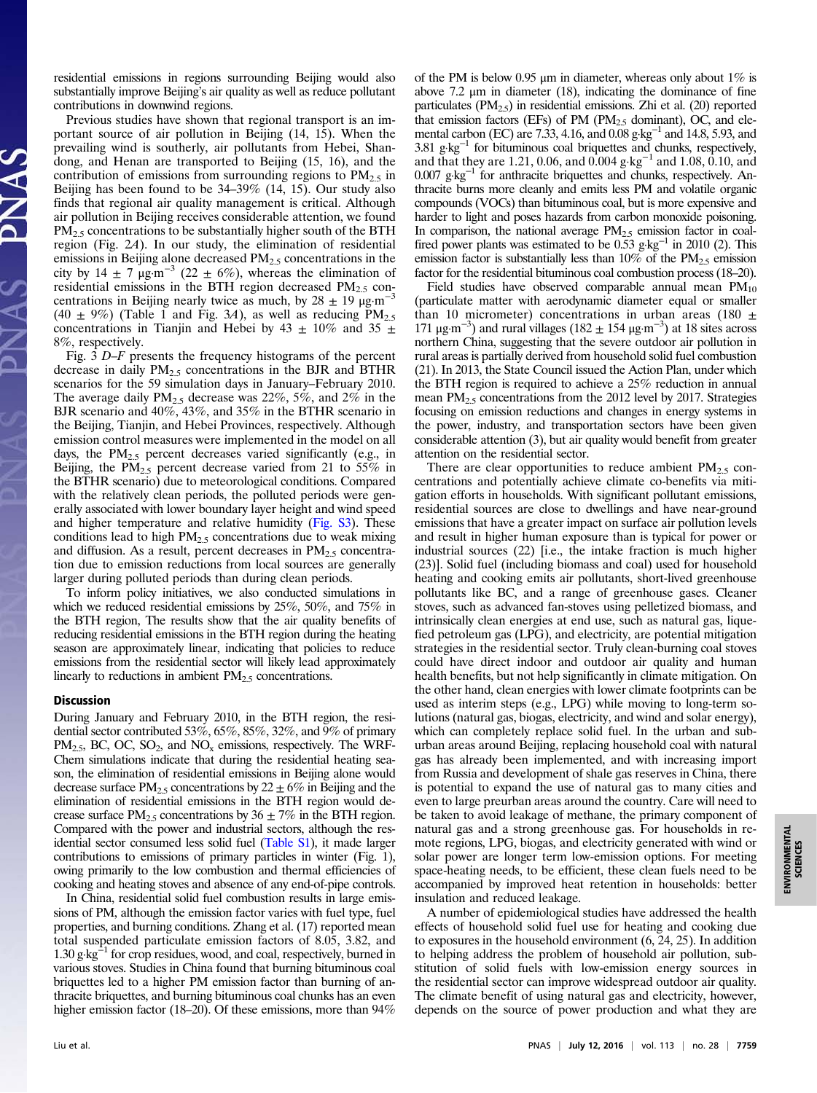residential emissions in regions surrounding Beijing would also substantially improve Beijing's air quality as well as reduce pollutant contributions in downwind regions.

Previous studies have shown that regional transport is an important source of air pollution in Beijing (14, 15). When the prevailing wind is southerly, air pollutants from Hebei, Shandong, and Henan are transported to Beijing (15, 16), and the contribution of emissions from surrounding regions to  $PM_{2.5}$  in Beijing has been found to be 34–39% (14, 15). Our study also finds that regional air quality management is critical. Although air pollution in Beijing receives considerable attention, we found PM<sub>2.5</sub> concentrations to be substantially higher south of the BTH region (Fig. 2A). In our study, the elimination of residential emissions in Beijing alone decreased  $PM_{2.5}$  concentrations in the city by 14  $\pm$  7  $\mu$ g·m<sup>-3</sup> (22  $\pm$  6%), whereas the elimination of residential emissions in the BTH region decreased  $PM_{2.5}$  concentrations in Beijing nearly twice as much, by  $28 \pm 19$   $\mu$ g·m<sup>-3</sup> (40  $\pm$  9%) (Table 1 and Fig. 3A), as well as reducing PM<sub>2.5</sub> concentrations in Tianjin and Hebei by 43  $\pm$  10% and 35  $\pm$ 8%, respectively.

Fig. 3 D–F presents the frequency histograms of the percent decrease in daily  $PM_{2.5}$  concentrations in the BJR and BTHR scenarios for the 59 simulation days in January–February 2010. The average daily  $PM_{2.5}$  decrease was 22%, 5%, and 2% in the BJR scenario and 40%, 43%, and 35% in the BTHR scenario in the Beijing, Tianjin, and Hebei Provinces, respectively. Although emission control measures were implemented in the model on all days, the  $PM_{2,5}$  percent decreases varied significantly (e.g., in Beijing, the  $PM_{2.5}$  percent decrease varied from 21 to 55% in the BTHR scenario) due to meteorological conditions. Compared with the relatively clean periods, the polluted periods were generally associated with lower boundary layer height and wind speed and higher temperature and relative humidity [\(Fig. S3](http://www.pnas.org/lookup/suppl/doi:10.1073/pnas.1604537113/-/DCSupplemental/pnas.201604537SI.pdf?targetid=nameddest=SF3)). These conditions lead to high  $PM<sub>2.5</sub>$  concentrations due to weak mixing and diffusion. As a result, percent decreases in  $PM_{2.5}$  concentration due to emission reductions from local sources are generally larger during polluted periods than during clean periods.

To inform policy initiatives, we also conducted simulations in which we reduced residential emissions by 25%, 50%, and 75% in the BTH region, The results show that the air quality benefits of reducing residential emissions in the BTH region during the heating season are approximately linear, indicating that policies to reduce emissions from the residential sector will likely lead approximately linearly to reductions in ambient  $PM_{2.5}$  concentrations.

#### Discussion

During January and February 2010, in the BTH region, the residential sector contributed 53%, 65%, 85%, 32%, and 9% of primary  $PM_{2.5}$ , BC, OC, SO<sub>2</sub>, and NO<sub>x</sub> emissions, respectively. The WRF-Chem simulations indicate that during the residential heating season, the elimination of residential emissions in Beijing alone would decrease surface  $PM_{2.5}$  concentrations by  $22 \pm 6\%$  in Beijing and the elimination of residential emissions in the BTH region would decrease surface  $PM_{2.5}$  concentrations by 36  $\pm$  7% in the BTH region. Compared with the power and industrial sectors, although the residential sector consumed less solid fuel [\(Table S1](http://www.pnas.org/lookup/suppl/doi:10.1073/pnas.1604537113/-/DCSupplemental/pnas.201604537SI.pdf?targetid=nameddest=ST1)), it made larger contributions to emissions of primary particles in winter (Fig. 1), owing primarily to the low combustion and thermal efficiencies of cooking and heating stoves and absence of any end-of-pipe controls.

In China, residential solid fuel combustion results in large emissions of PM, although the emission factor varies with fuel type, fuel properties, and burning conditions. Zhang et al. (17) reported mean total suspended particulate emission factors of 8.05, 3.82, and 1.30 g·kg−<sup>1</sup> for crop residues, wood, and coal, respectively, burned in various stoves. Studies in China found that burning bituminous coal briquettes led to a higher PM emission factor than burning of anthracite briquettes, and burning bituminous coal chunks has an even higher emission factor (18–20). Of these emissions, more than  $94\%$ 

of the PM is below 0.95  $\mu$ m in diameter, whereas only about 1% is above 7.2 μm in diameter (18), indicating the dominance of fine particulates ( $PM_{2.5}$ ) in residential emissions. Zhi et al. (20) reported that emission factors (EFs) of PM (PM $_{2.5}$  dominant), OC, and elemental carbon (EC) are 7.33, 4.16, and 0.08 g⋅kg<sup>-1</sup> and 14.8, 5.93, and 3.81 g·kg<sup> $-1$ </sup> for bituminous coal briquettes and chunks, respectively, and that they are 1.21, 0.06, and 0.004 g·kg−<sup>1</sup> and 1.08, 0.10, and 0.007 g·kg−<sup>1</sup> for anthracite briquettes and chunks, respectively. Anthracite burns more cleanly and emits less PM and volatile organic compounds (VOCs) than bituminous coal, but is more expensive and harder to light and poses hazards from carbon monoxide poisoning. In comparison, the national average  $PM_{2.5}$  emission factor in coalfired power plants was estimated to be  $0.53$  g·kg<sup>-1</sup> in 2010 (2). This emission factor is substantially less than  $10\%$  of the PM<sub>2.5</sub> emission factor for the residential bituminous coal combustion process (18–20).

Field studies have observed comparable annual mean  $PM_{10}$ (particulate matter with aerodynamic diameter equal or smaller than 10 micrometer) concentrations in urban areas (180  $\pm$ 171 μg·m<sup>-3</sup>) and rural villages (182  $\pm$  154 μg·m<sup>-3</sup>) at 18 sites across northern China, suggesting that the severe outdoor air pollution in rural areas is partially derived from household solid fuel combustion (21). In 2013, the State Council issued the Action Plan, under which the BTH region is required to achieve a 25% reduction in annual mean  $PM_{2,5}$  concentrations from the 2012 level by 2017. Strategies focusing on emission reductions and changes in energy systems in the power, industry, and transportation sectors have been given considerable attention (3), but air quality would benefit from greater attention on the residential sector.

There are clear opportunities to reduce ambient  $PM_{2.5}$  concentrations and potentially achieve climate co-benefits via mitigation efforts in households. With significant pollutant emissions, residential sources are close to dwellings and have near-ground emissions that have a greater impact on surface air pollution levels and result in higher human exposure than is typical for power or industrial sources (22) [i.e., the intake fraction is much higher (23)]. Solid fuel (including biomass and coal) used for household heating and cooking emits air pollutants, short-lived greenhouse pollutants like BC, and a range of greenhouse gases. Cleaner stoves, such as advanced fan-stoves using pelletized biomass, and intrinsically clean energies at end use, such as natural gas, liquefied petroleum gas (LPG), and electricity, are potential mitigation strategies in the residential sector. Truly clean-burning coal stoves could have direct indoor and outdoor air quality and human health benefits, but not help significantly in climate mitigation. On the other hand, clean energies with lower climate footprints can be used as interim steps (e.g., LPG) while moving to long-term solutions (natural gas, biogas, electricity, and wind and solar energy), which can completely replace solid fuel. In the urban and suburban areas around Beijing, replacing household coal with natural gas has already been implemented, and with increasing import from Russia and development of shale gas reserves in China, there is potential to expand the use of natural gas to many cities and even to large preurban areas around the country. Care will need to be taken to avoid leakage of methane, the primary component of natural gas and a strong greenhouse gas. For households in remote regions, LPG, biogas, and electricity generated with wind or solar power are longer term low-emission options. For meeting space-heating needs, to be efficient, these clean fuels need to be accompanied by improved heat retention in households: better insulation and reduced leakage.

A number of epidemiological studies have addressed the health effects of household solid fuel use for heating and cooking due to exposures in the household environment (6, 24, 25). In addition to helping address the problem of household air pollution, substitution of solid fuels with low-emission energy sources in the residential sector can improve widespread outdoor air quality. The climate benefit of using natural gas and electricity, however, depends on the source of power production and what they are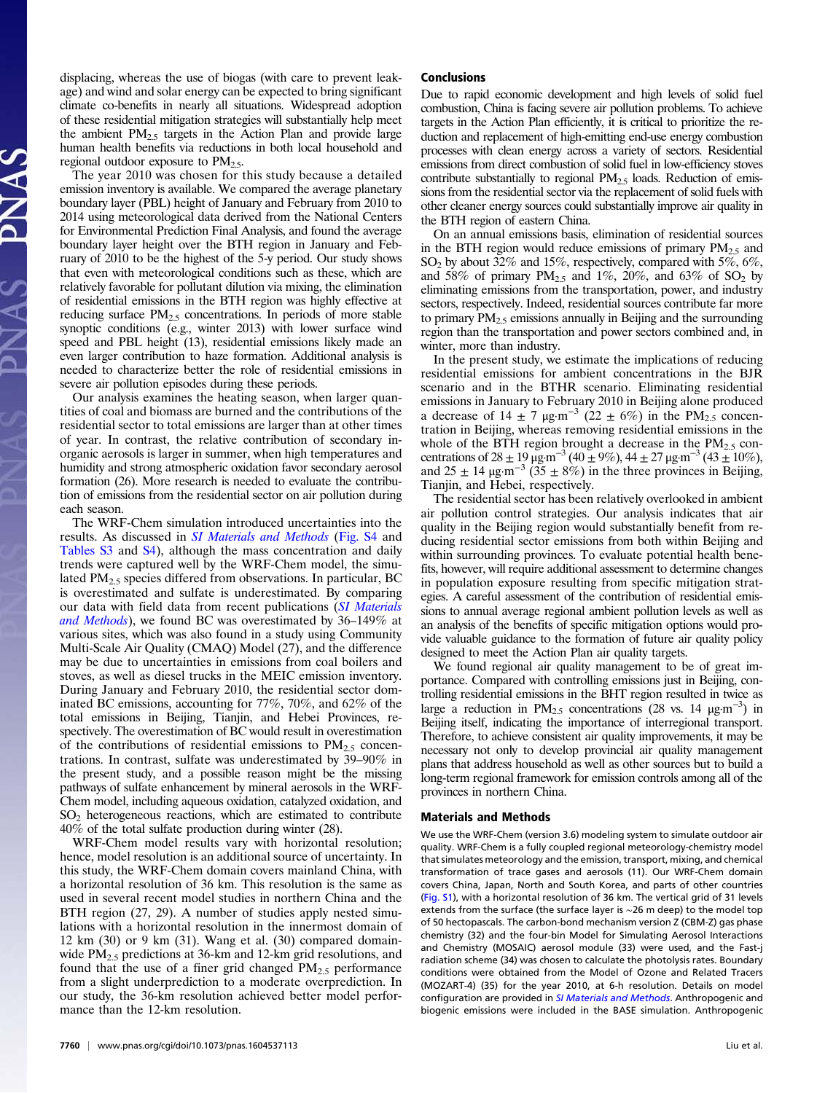displacing, whereas the use of biogas (with care to prevent leakage) and wind and solar energy can be expected to bring significant climate co-benefits in nearly all situations. Widespread adoption of these residential mitigation strategies will substantially help meet the ambient  $PM_{2.5}$  targets in the Action Plan and provide large human health benefits via reductions in both local household and regional outdoor exposure to  $PM_{2.5}$ .

The year 2010 was chosen for this study because a detailed emission inventory is available. We compared the average planetary boundary layer (PBL) height of January and February from 2010 to 2014 using meteorological data derived from the National Centers for Environmental Prediction Final Analysis, and found the average boundary layer height over the BTH region in January and February of 2010 to be the highest of the 5-y period. Our study shows that even with meteorological conditions such as these, which are relatively favorable for pollutant dilution via mixing, the elimination of residential emissions in the BTH region was highly effective at reducing surface  $PM_{2.5}$  concentrations. In periods of more stable synoptic conditions (e.g., winter 2013) with lower surface wind speed and PBL height (13), residential emissions likely made an even larger contribution to haze formation. Additional analysis is needed to characterize better the role of residential emissions in severe air pollution episodes during these periods.

Our analysis examines the heating season, when larger quantities of coal and biomass are burned and the contributions of the residential sector to total emissions are larger than at other times of year. In contrast, the relative contribution of secondary inorganic aerosols is larger in summer, when high temperatures and humidity and strong atmospheric oxidation favor secondary aerosol formation (26). More research is needed to evaluate the contribution of emissions from the residential sector on air pollution during each season.

The WRF-Chem simulation introduced uncertainties into the results. As discussed in [SI Materials and Methods](http://www.pnas.org/lookup/suppl/doi:10.1073/pnas.1604537113/-/DCSupplemental/pnas.201604537SI.pdf?targetid=nameddest=STXT) ([Fig. S4](http://www.pnas.org/lookup/suppl/doi:10.1073/pnas.1604537113/-/DCSupplemental/pnas.201604537SI.pdf?targetid=nameddest=SF4) and [Tables S3](http://www.pnas.org/lookup/suppl/doi:10.1073/pnas.1604537113/-/DCSupplemental/pnas.201604537SI.pdf?targetid=nameddest=ST3) and [S4\)](http://www.pnas.org/lookup/suppl/doi:10.1073/pnas.1604537113/-/DCSupplemental/pnas.201604537SI.pdf?targetid=nameddest=ST4), although the mass concentration and daily trends were captured well by the WRF-Chem model, the simulated  $PM<sub>2.5</sub>$  species differed from observations. In particular, BC is overestimated and sulfate is underestimated. By comparing our data with field data from recent publications ([SI Materials](http://www.pnas.org/lookup/suppl/doi:10.1073/pnas.1604537113/-/DCSupplemental/pnas.201604537SI.pdf?targetid=nameddest=STXT) [and Methods](http://www.pnas.org/lookup/suppl/doi:10.1073/pnas.1604537113/-/DCSupplemental/pnas.201604537SI.pdf?targetid=nameddest=STXT)), we found BC was overestimated by 36–149% at various sites, which was also found in a study using Community Multi-Scale Air Quality (CMAQ) Model (27), and the difference may be due to uncertainties in emissions from coal boilers and stoves, as well as diesel trucks in the MEIC emission inventory. During January and February 2010, the residential sector dominated BC emissions, accounting for 77%, 70%, and 62% of the total emissions in Beijing, Tianjin, and Hebei Provinces, respectively. The overestimation of BC would result in overestimation of the contributions of residential emissions to  $PM_{2.5}$  concentrations. In contrast, sulfate was underestimated by 39–90% in the present study, and a possible reason might be the missing pathways of sulfate enhancement by mineral aerosols in the WRF-Chem model, including aqueous oxidation, catalyzed oxidation, and  $SO<sub>2</sub>$  heterogeneous reactions, which are estimated to contribute 40% of the total sulfate production during winter (28).

WRF-Chem model results vary with horizontal resolution; hence, model resolution is an additional source of uncertainty. In this study, the WRF-Chem domain covers mainland China, with a horizontal resolution of 36 km. This resolution is the same as used in several recent model studies in northern China and the BTH region (27, 29). A number of studies apply nested simulations with a horizontal resolution in the innermost domain of 12 km (30) or 9 km (31). Wang et al. (30) compared domainwide  $PM_{2.5}$  predictions at 36-km and 12-km grid resolutions, and found that the use of a finer grid changed  $PM_{2.5}$  performance from a slight underprediction to a moderate overprediction. In our study, the 36-km resolution achieved better model performance than the 12-km resolution.

#### Conclusions

Due to rapid economic development and high levels of solid fuel combustion, China is facing severe air pollution problems. To achieve targets in the Action Plan efficiently, it is critical to prioritize the reduction and replacement of high-emitting end-use energy combustion processes with clean energy across a variety of sectors. Residential emissions from direct combustion of solid fuel in low-efficiency stoves contribute substantially to regional  $PM<sub>2.5</sub>$  loads. Reduction of emissions from the residential sector via the replacement of solid fuels with other cleaner energy sources could substantially improve air quality in the BTH region of eastern China.

On an annual emissions basis, elimination of residential sources in the BTH region would reduce emissions of primary  $PM_{2.5}$  and  $SO<sub>2</sub>$  by about 32% and 15%, respectively, compared with 5%, 6%, and 58% of primary  $PM_{2.5}$  and 1%, 20%, and 63% of SO<sub>2</sub> by eliminating emissions from the transportation, power, and industry sectors, respectively. Indeed, residential sources contribute far more to primary  $PM<sub>2.5</sub>$  emissions annually in Beijing and the surrounding region than the transportation and power sectors combined and, in winter, more than industry.

In the present study, we estimate the implications of reducing residential emissions for ambient concentrations in the BJR scenario and in the BTHR scenario. Eliminating residential emissions in January to February 2010 in Beijing alone produced a decrease of  $14 \pm 7 \mu g \cdot m^{-3} (22 \pm 6\%)$  in the PM<sub>2.5</sub> concentration in Beijing, whereas removing residential emissions in the whole of the BTH region brought a decrease in the  $PM_{2.5}$  concentrations of  $28 \pm 19 \mu$ g·m<sup>-3</sup> (40 ± 9%), 44 ± 27  $\mu$ g·m<sup>-3</sup> (43 ± 10%), and  $25 \pm 14 \,\mu g \cdot m^{-3}$  (35  $\pm 8\%$ ) in the three provinces in Beijing, Tianjin, and Hebei, respectively.

The residential sector has been relatively overlooked in ambient air pollution control strategies. Our analysis indicates that air quality in the Beijing region would substantially benefit from reducing residential sector emissions from both within Beijing and within surrounding provinces. To evaluate potential health benefits, however, will require additional assessment to determine changes in population exposure resulting from specific mitigation strategies. A careful assessment of the contribution of residential emissions to annual average regional ambient pollution levels as well as an analysis of the benefits of specific mitigation options would provide valuable guidance to the formation of future air quality policy designed to meet the Action Plan air quality targets.

We found regional air quality management to be of great importance. Compared with controlling emissions just in Beijing, controlling residential emissions in the BHT region resulted in twice as large a reduction in PM<sub>2.5</sub> concentrations (28 vs. 14  $\mu$ g·m<sup>-3</sup>) in Beijing itself, indicating the importance of interregional transport. Therefore, to achieve consistent air quality improvements, it may be necessary not only to develop provincial air quality management plans that address household as well as other sources but to build a long-term regional framework for emission controls among all of the provinces in northern China.

#### Materials and Methods

We use the WRF-Chem (version 3.6) modeling system to simulate outdoor air quality. WRF-Chem is a fully coupled regional meteorology-chemistry model that simulates meteorology and the emission, transport, mixing, and chemical transformation of trace gases and aerosols (11). Our WRF-Chem domain covers China, Japan, North and South Korea, and parts of other countries ([Fig. S1\)](http://www.pnas.org/lookup/suppl/doi:10.1073/pnas.1604537113/-/DCSupplemental/pnas.201604537SI.pdf?targetid=nameddest=SF1), with a horizontal resolution of 36 km. The vertical grid of 31 levels extends from the surface (the surface layer is ∼26 m deep) to the model top of 50 hectopascals. The carbon-bond mechanism version Z (CBM-Z) gas phase chemistry (32) and the four-bin Model for Simulating Aerosol Interactions and Chemistry (MOSAIC) aerosol module (33) were used, and the Fast-j radiation scheme (34) was chosen to calculate the photolysis rates. Boundary conditions were obtained from the Model of Ozone and Related Tracers (MOZART-4) (35) for the year 2010, at 6-h resolution. Details on model configuration are provided in [SI Materials and Methods](http://www.pnas.org/lookup/suppl/doi:10.1073/pnas.1604537113/-/DCSupplemental/pnas.201604537SI.pdf?targetid=nameddest=STXT). Anthropogenic and biogenic emissions were included in the BASE simulation. Anthropogenic